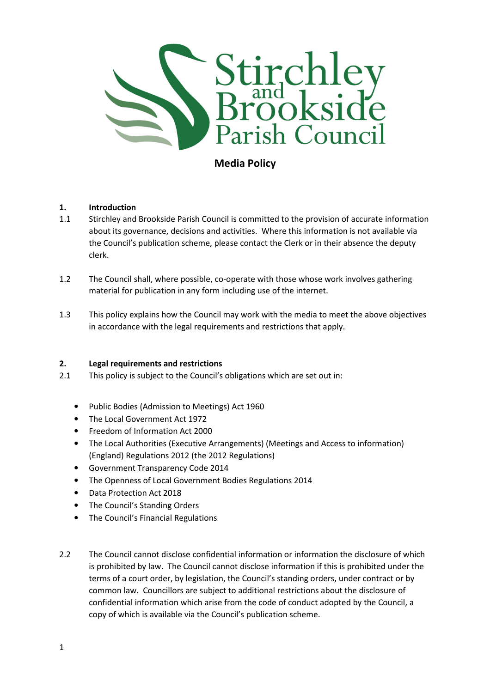

Media Policy

# 1. Introduction

- 1.1 Stirchley and Brookside Parish Council is committed to the provision of accurate information about its governance, decisions and activities. Where this information is not available via the Council's publication scheme, please contact the Clerk or in their absence the deputy clerk.
- 1.2 The Council shall, where possible, co-operate with those whose work involves gathering material for publication in any form including use of the internet.
- 1.3 This policy explains how the Council may work with the media to meet the above objectives in accordance with the legal requirements and restrictions that apply.

# 2. Legal requirements and restrictions

- 2.1 This policy is subject to the Council's obligations which are set out in:
	- Public Bodies (Admission to Meetings) Act 1960
	- The Local Government Act 1972
	- Freedom of Information Act 2000
	- The Local Authorities (Executive Arrangements) (Meetings and Access to information) (England) Regulations 2012 (the 2012 Regulations)
	- Government Transparency Code 2014
	- The Openness of Local Government Bodies Regulations 2014
	- Data Protection Act 2018
	- The Council's Standing Orders
	- The Council's Financial Regulations
- 2.2 The Council cannot disclose confidential information or information the disclosure of which is prohibited by law. The Council cannot disclose information if this is prohibited under the terms of a court order, by legislation, the Council's standing orders, under contract or by common law. Councillors are subject to additional restrictions about the disclosure of confidential information which arise from the code of conduct adopted by the Council, a copy of which is available via the Council's publication scheme.